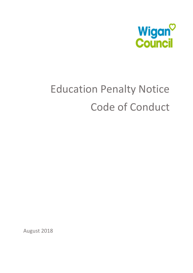

# Education Penalty Notice Code of Conduct

August 2018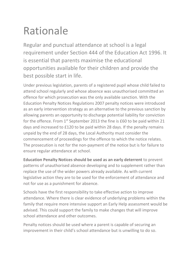## Rationale

Regular and punctual attendance at school is a legal requirement under Section 444 of the Education Act 1996. It is essential that parents maximise the educational opportunities available for their children and provide the best possible start in life.

Under previous legislation, parents of a registered pupil whose child failed to attend school regularly and whose absence was unauthorised committed an offence for which prosecution was the only available sanction. With the Education Penalty Notices Regulations 2007 penalty notices were introduced as an early intervention strategy as an alternative to the previous sanction by allowing parents an opportunity to discharge potential liability for conviction for the offence. From  $1^{st}$  September 2013 the fine is £60 to be paid within 21 days and increased to £120 to be paid within 28 days. If the penalty remains unpaid by the end of 28 days, the Local Authority must consider the commencement of proceedings for the offence to which the notice relates. The prosecution is not for the non-payment of the notice but is for failure to ensure regular attendance at school.

**Education Penalty Notices should be used as an early deterrent** to prevent patterns of unauthorised absence developing and to supplement rather than replace the use of the wider powers already available. As with current legislative action they are to be used for the enforcement of attendance and not for use as a punishment for absence.

Schools have the first responsibility to take effective action to improve attendance. Where there is clear evidence of underlying problems within the family that require more intensive support an Early Help assessment would be advised. This could support the family to make changes that will improve school attendance and other outcomes.

Penalty notices should be used where a parent is capable of securing an improvement in their child's school attendance but is unwilling to do so.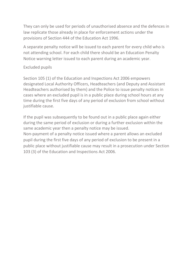They can only be used for periods of unauthorised absence and the defences in law replicate those already in place for enforcement actions under the provisions of Section 444 of the Education Act 1996.

A separate penalty notice will be issued to each parent for every child who is not attending school. For each child there should be an Education Penalty Notice warning letter issued to each parent during an academic year.

#### Excluded pupils

Section 105 (1) of the Education and Inspections Act 2006 empowers designated Local Authority Officers, Headteachers (and Deputy and Assistant Headteachers authorised by them) and the Police to issue penalty notices in cases where an excluded pupil is in a public place during school hours at any time during the first five days of any period of exclusion from school without justifiable cause.

If the pupil was subsequently to be found out in a public place again either during the same period of exclusion or during a further exclusion within the same academic year then a penalty notice may be issued. Non-payment of a penalty notice issued where a parent allows an excluded pupil during the first five days of any period of exclusion to be present in a public place without justifiable cause may result in a prosecution under Section 103 (3) of the Education and Inspections Act 2006.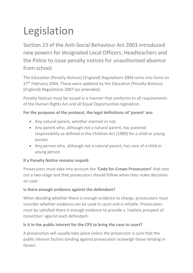## Legislation

Section 23 of the Anti-Social Behaviour Act 2003 introduced new powers for designated Local Officers, Headteachers and the Police to issue penalty notices for unauthorised absence from school.

The Education (Penalty Notices) (England) Regulations 2004 came into force on 27<sup>th</sup> February 2004. These were updated by the Education (Penalty Notices) (England) Regulations 2007 (as amended).

Penalty Notices must be issued in a manner that conforms to all requirements of the Human Rights Act and all Equal Opportunities legislation.

### **For the purposes of the protocol, the legal definitions of 'parent' are:**

- Any natural parent, whether married or not.
- Any parent who, although not a natural parent, has parental responsibility as defined in the Children Act (1989) for a child or young person.
- Any person who, although not a natural parent, has care of a child or young person

### **If a Penalty Notice remains unpaid:**

Prosecutors must take into account the **'Code for Crown Prosecutors'** that sets out a two-stage test that prosecutors should follow when they make decisions on case:

### **Is there enough evidence against the defendant?**

When deciding whether there is enough evidence to charge, prosecutors must consider whether evidence can be used in court and is reliable. Prosecutors must be satisfied there is enough evidence to provide a 'realistic prospect of conviction' against each defendant.

### **Is it in the public interest for the CPS to bring the case to court?**

A prosecution will usually take place unless the prosecutor is sure that the public interest factors tending against prosecution outweigh those tending in favour.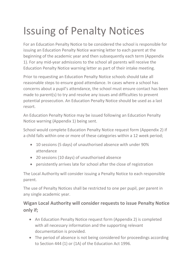## Issuing of Penalty Notices

For an Education Penalty Notice to be considered the school is responsible for issuing an Education Penalty Notice warning letter to each parent at the beginning of the academic year and then subsequently each term (Appendix 1). For any mid-year admissions to the school all parents will receive the Education Penalty Notice warning letter as part of their intake meeting.

Prior to requesting an Education Penalty Notice schools should take all reasonable steps to ensure good attendance. In cases where a school has concerns about a pupil's attendance, the school must ensure contact has been made to parent(s) to try and resolve any issues and difficulties to prevent potential prosecution. An Education Penalty Notice should be used as a last resort.

An Education Penalty Notice may be issued following an Education Penalty Notice warning (Appendix 1) being sent.

School would complete Education Penalty Notice request form (Appendix 2) if a child falls within one or more of these categories within a 12 week period;

- 10 sessions (5 days) of unauthorised absence with under 90% attendance
- 20 sessions (10 days) of unauthorised absence
- persistently arrives late for school after the close of registration

The Local Authority will consider issuing a Penalty Notice to each responsible parent.

The use of Penalty Notices shall be restricted to one per pupil, per parent in any single academic year.

### **Wigan Local Authority will consider requests to issue Penalty Notice only if;**

- An Education Penalty Notice request form (Appendix 2) is completed with all necessary information and the supporting relevant documentation is provided.
- The period of absence is not being considered for proceedings according to Section 444 (1) or (1A) of the Education Act 1996.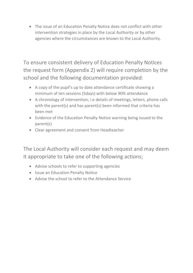The issue of an Education Penalty Notice does not conflict with other intervention strategies in place by the Local Authority or by other agencies where the circumstances are known to the Local Authority.

To ensure consistent delivery of Education Penalty Notices the request form (Appendix 2) will require completion by the school and the following documentation provided:

- A copy of the pupil's up to date attendance certificate showing a minimum of ten sessions (5days) with below 90% attendance
- A chronology of intervention; i.e details of meetings, letters, phone calls with the parent(s) and has parent(s) been informed that criteria has been met
- Evidence of the Education Penalty Notice warning being issued to the parent(s)
- Clear agreement and consent from Headteacher

The Local Authority will consider each request and may deem it appropriate to take one of the following actions;

- Advise schools to refer to supporting agencies
- Issue an Education Penalty Notice
- Advise the school to refer to the Attendance Service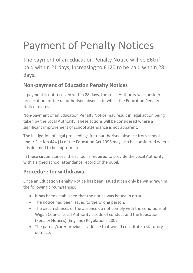## Payment of Penalty Notices

The payment of an Education Penalty Notice will be £60 if paid within 21 days, increasing to £120 to be paid within 28 days.

### **Non-payment of Education Penalty Notices**

If payment is not received within 28 days, the Local Authority will consider prosecution for the unauthorised absence to which the Education Penalty Notice relates.

Non-payment of an Education Penalty Notice may result in legal action being taken by the Local Authority. These actions will be considered where a significant improvement of school attendance is not apparent.

The instigation of legal proceedings for unauthorised absence from school under Section 444 (1) of the Education Act 1996 may also be considered where it is deemed to be appropriate.

In these circumstances, the school is required to provide the Local Authority with a signed school attendance record of the pupil.

### **Procedure for withdrawal**

Once an Education Penalty Notice has been issued it can only be withdrawn in the following circumstances:

- It has been established that the notice was issued in error.
- The notice had been issued to the wrong person.
- The circumstances of the absence do not comply with the conditions of Wigan Council Local Authority's code of conduct and the Education (Penalty Notices) (England) Regulations 2007.
- The parent/carer provides evidence that would constitute a statutory defence.